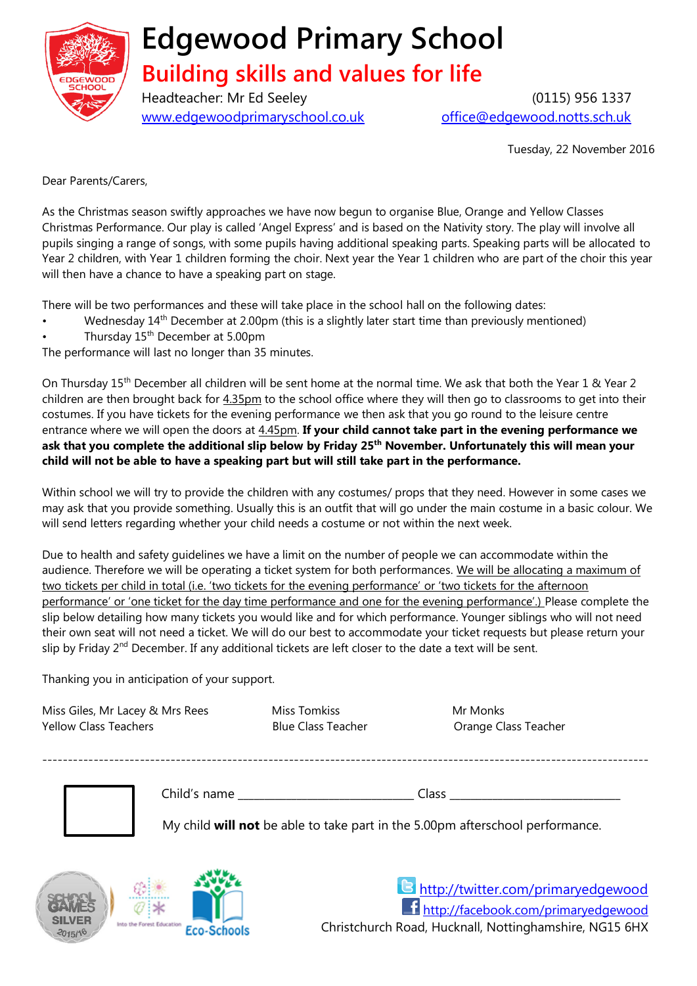

## **Edgewood Primary School**

## **Building skills and values for life**

Headteacher: Mr Ed Seeley (0115) 956 1337 [www.edgewoodprimaryschool.co.uk](http://www.edgewoodprimaryschool.co.uk/) [office@edgewood.notts.sch.uk](mailto:office@edgewood.notts.sch.uk)

Tuesday, 22 November 2016

Dear Parents/Carers,

As the Christmas season swiftly approaches we have now begun to organise Blue, Orange and Yellow Classes Christmas Performance. Our play is called 'Angel Express' and is based on the Nativity story. The play will involve all pupils singing a range of songs, with some pupils having additional speaking parts. Speaking parts will be allocated to Year 2 children, with Year 1 children forming the choir. Next year the Year 1 children who are part of the choir this year will then have a chance to have a speaking part on stage.

There will be two performances and these will take place in the school hall on the following dates:

- Wednesday 14<sup>th</sup> December at 2.00pm (this is a slightly later start time than previously mentioned)
- Thursday 15<sup>th</sup> December at 5.00pm

The performance will last no longer than 35 minutes.

On Thursday 15<sup>th</sup> December all children will be sent home at the normal time. We ask that both the Year 1 & Year 2 children are then brought back for 4.35pm to the school office where they will then go to classrooms to get into their costumes. If you have tickets for the evening performance we then ask that you go round to the leisure centre entrance where we will open the doors at 4.45pm. **If your child cannot take part in the evening performance we ask that you complete the additional slip below by Friday 25th November. Unfortunately this will mean your child will not be able to have a speaking part but will still take part in the performance.** 

Within school we will try to provide the children with any costumes/ props that they need. However in some cases we may ask that you provide something. Usually this is an outfit that will go under the main costume in a basic colour. We will send letters regarding whether your child needs a costume or not within the next week.

Due to health and safety guidelines we have a limit on the number of people we can accommodate within the audience. Therefore we will be operating a ticket system for both performances. We will be allocating a maximum of two tickets per child in total (i.e. 'two tickets for the evening performance' or 'two tickets for the afternoon performance' or 'one ticket for the day time performance and one for the evening performance'.) Please complete the slip below detailing how many tickets you would like and for which performance. Younger siblings who will not need their own seat will not need a ticket. We will do our best to accommodate your ticket requests but please return your slip by Friday 2<sup>nd</sup> December. If any additional tickets are left closer to the date a text will be sent.

Thanking you in anticipation of your support.

Miss Giles, Mr Lacey & Mrs Rees Miss Tomkiss Miss Tomkiss Mr Monks Yellow Class Teachers Blue Class Teacher Orange Class Teacher ---------------------------------------------------------------------------------------------------------------------- Child's name **contract and Class** class **contract and Class**  $\alpha$ My child **will not** be able to take part in the 5.00pm afterschool performance.

> <http://twitter.com/primaryedgewood> <http://facebook.com/primaryedgewood> Christchurch Road, Hucknall, Nottinghamshire, NG15 6HX **Eco-Schools**